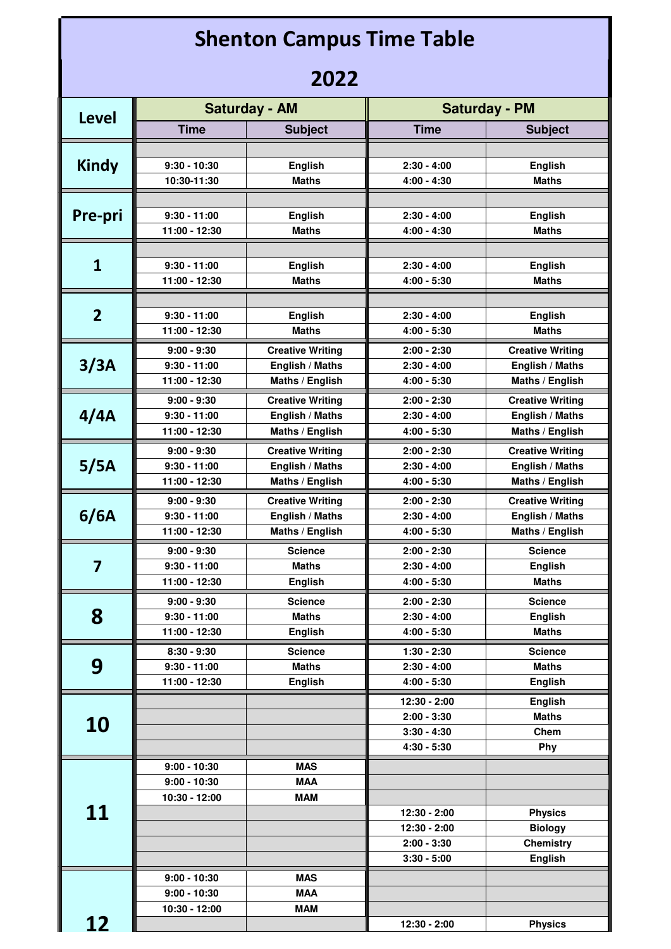| <b>Shenton Campus Time Table</b> |                                 |                                           |                                |                                           |  |  |  |
|----------------------------------|---------------------------------|-------------------------------------------|--------------------------------|-------------------------------------------|--|--|--|
| 2022                             |                                 |                                           |                                |                                           |  |  |  |
| <b>Level</b>                     | <b>Saturday - AM</b>            |                                           | <b>Saturday - PM</b>           |                                           |  |  |  |
|                                  | <b>Time</b>                     | <b>Subject</b>                            | <b>Time</b>                    | <b>Subject</b>                            |  |  |  |
|                                  |                                 |                                           |                                |                                           |  |  |  |
| <b>Kindy</b>                     | $9:30 - 10:30$                  | <b>English</b>                            | $2:30 - 4:00$                  | <b>English</b>                            |  |  |  |
|                                  | 10:30-11:30                     | Maths                                     | $4:00 - 4:30$                  | <b>Maths</b>                              |  |  |  |
| Pre-pri                          | $9:30 - 11:00$                  | <b>English</b>                            | $2:30 - 4:00$                  | <b>English</b>                            |  |  |  |
|                                  | 11:00 - 12:30                   | <b>Maths</b>                              | $4:00 - 4:30$                  | <b>Maths</b>                              |  |  |  |
|                                  |                                 |                                           |                                |                                           |  |  |  |
| $\mathbf{1}$                     | $9:30 - 11:00$                  | <b>English</b>                            | $2:30 - 4:00$                  | <b>English</b>                            |  |  |  |
|                                  | 11:00 - 12:30                   | <b>Maths</b>                              | $4:00 - 5:30$                  | <b>Maths</b>                              |  |  |  |
|                                  |                                 |                                           |                                |                                           |  |  |  |
| $\overline{2}$                   | $9:30 - 11:00$<br>11:00 - 12:30 | <b>English</b><br><b>Maths</b>            | $2:30 - 4:00$<br>$4:00 - 5:30$ | <b>English</b><br>Maths                   |  |  |  |
| 3/3A                             | $9:00 - 9:30$                   | <b>Creative Writing</b>                   | $2:00 - 2:30$                  | <b>Creative Writing</b>                   |  |  |  |
|                                  | $9:30 - 11:00$                  | English / Maths                           | $2:30 - 4:00$                  | English / Maths                           |  |  |  |
|                                  | 11:00 - 12:30                   | Maths / English                           | $4:00 - 5:30$                  | Maths / English                           |  |  |  |
|                                  | $9:00 - 9:30$                   | <b>Creative Writing</b>                   | $2:00 - 2:30$                  | <b>Creative Writing</b>                   |  |  |  |
| 4/4A                             | $9:30 - 11:00$                  | English / Maths                           | $2:30 - 4:00$                  | English / Maths                           |  |  |  |
|                                  | 11:00 - 12:30                   | Maths / English                           | $4:00 - 5:30$                  | Maths / English                           |  |  |  |
|                                  | $9:00 - 9:30$                   | <b>Creative Writing</b>                   | $2:00 - 2:30$                  | <b>Creative Writing</b>                   |  |  |  |
| 5/5A                             | $9:30 - 11:00$                  | English / Maths                           | $2:30 - 4:00$                  | English / Maths                           |  |  |  |
|                                  | 11:00 - 12:30                   | Maths / English                           | $4:00 - 5:30$                  | Maths / English                           |  |  |  |
|                                  | $9:00 - 9:30$<br>$9:30 - 11:00$ | <b>Creative Writing</b>                   | $2:00 - 2:30$<br>$2:30 - 4:00$ | <b>Creative Writing</b>                   |  |  |  |
| 6/6A                             | 11:00 - 12:30                   | <b>English / Maths</b><br>Maths / English | $4:00 - 5:30$                  | <b>English / Maths</b><br>Maths / English |  |  |  |
|                                  | $9:00 - 9:30$                   | <b>Science</b>                            | $2:00 - 2:30$                  | <b>Science</b>                            |  |  |  |
| $\overline{\mathbf{z}}$          | $9:30 - 11:00$                  | <b>Maths</b>                              | $2:30 - 4:00$                  | <b>English</b>                            |  |  |  |
|                                  | 11:00 - 12:30                   | <b>English</b>                            | $4:00 - 5:30$                  | <b>Maths</b>                              |  |  |  |
|                                  | $9:00 - 9:30$                   | <b>Science</b>                            | $2:00 - 2:30$                  | <b>Science</b>                            |  |  |  |
| 8                                | $9:30 - 11:00$                  | <b>Maths</b>                              | $2:30 - 4:00$                  | <b>English</b>                            |  |  |  |
|                                  | 11:00 - 12:30                   | <b>English</b>                            | $4:00 - 5:30$                  | <b>Maths</b>                              |  |  |  |
|                                  | $8:30 - 9:30$                   | <b>Science</b>                            | $1:30 - 2:30$                  | <b>Science</b>                            |  |  |  |
| 9                                | $9:30 - 11:00$<br>11:00 - 12:30 | <b>Maths</b><br><b>English</b>            | $2:30 - 4:00$<br>$4:00 - 5:30$ | <b>Maths</b><br><b>English</b>            |  |  |  |
|                                  |                                 |                                           | 12:30 - 2:00                   | <b>English</b>                            |  |  |  |
|                                  |                                 |                                           | $2:00 - 3:30$                  | <b>Maths</b>                              |  |  |  |
| <b>10</b>                        |                                 |                                           | $3:30 - 4:30$                  | Chem                                      |  |  |  |
|                                  |                                 |                                           | $4:30 - 5:30$                  | Phy                                       |  |  |  |
|                                  | $9:00 - 10:30$                  | <b>MAS</b>                                |                                |                                           |  |  |  |
|                                  | $9:00 - 10:30$                  | <b>MAA</b>                                |                                |                                           |  |  |  |
| 11                               | 10:30 - 12:00                   | <b>MAM</b>                                | 12:30 - 2:00                   | <b>Physics</b>                            |  |  |  |
|                                  |                                 |                                           | 12:30 - 2:00                   | <b>Biology</b>                            |  |  |  |
|                                  |                                 |                                           | $2:00 - 3:30$                  | <b>Chemistry</b>                          |  |  |  |
|                                  |                                 |                                           | $3:30 - 5:00$                  | <b>English</b>                            |  |  |  |
|                                  | $9:00 - 10:30$                  | <b>MAS</b>                                |                                |                                           |  |  |  |
|                                  | $9:00 - 10:30$                  | <b>MAA</b>                                |                                |                                           |  |  |  |
| 12                               | 10:30 - 12:00                   | <b>MAM</b>                                | 12:30 - 2:00                   | <b>Physics</b>                            |  |  |  |
|                                  |                                 |                                           |                                |                                           |  |  |  |